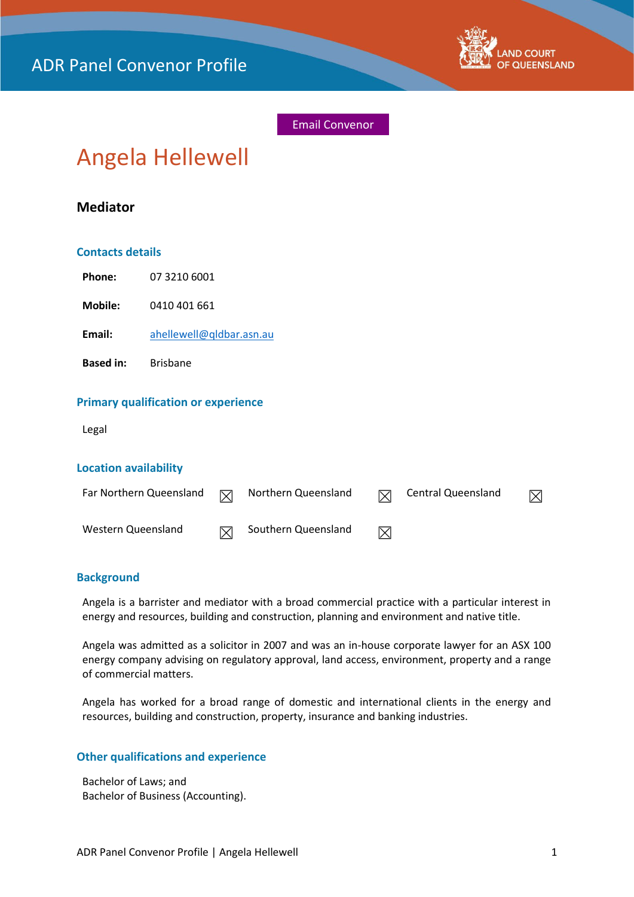

Email Convenor

# Angela Hellewell

# **Mediator**

#### **Contacts details**

**Phone:** 07 3210 6001

**Mobile:** 0410 401 661

**Email:** [ahellewell@qldbar.asn.au](mailto:ahellewell@qldbar.asn.au)

**Based in:** Brisbane

## **Primary qualification or experience**

Legal

#### **Location availability**

| Far Northern Queensland | ⊠            | Northern Queensland | $\boxtimes$ | Central Queensland | X |
|-------------------------|--------------|---------------------|-------------|--------------------|---|
| Western Queensland      | $\mathsf{N}$ | Southern Queensland | ⊠           |                    |   |

### **Background**

Angela is a barrister and mediator with a broad commercial practice with a particular interest in energy and resources, building and construction, planning and environment and native title.

Angela was admitted as a solicitor in 2007 and was an in-house corporate lawyer for an ASX 100 energy company advising on regulatory approval, land access, environment, property and a range of commercial matters.

Angela has worked for a broad range of domestic and international clients in the energy and resources, building and construction, property, insurance and banking industries.

#### **Other qualifications and experience**

Bachelor of Laws; and Bachelor of Business (Accounting).